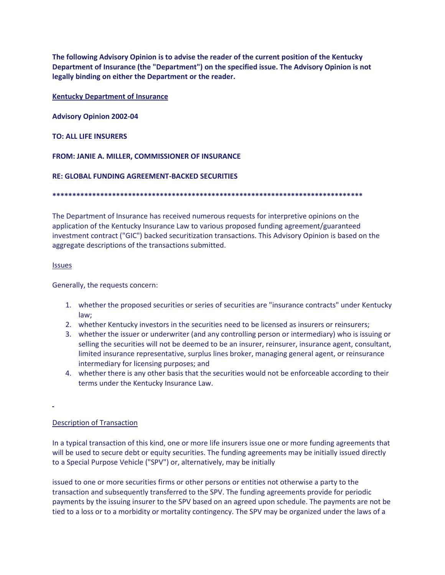**The following Advisory Opinion is to advise the reader of the current position of the Kentucky Department of Insurance (the "Department") on the specified issue. The Advisory Opinion is not legally binding on either the Department or the reader.**

**Kentucky Department of Insurance** 

**Advisory Opinion 2002-04** 

**TO: ALL LIFE INSURERS** 

**FROM: JANIE A. MILLER, COMMISSIONER OF INSURANCE** 

**RE: GLOBAL FUNDING AGREEMENT-BACKED SECURITIES**

**\*\*\*\*\*\*\*\*\*\*\*\*\*\*\*\*\*\*\*\*\*\*\*\*\*\*\*\*\*\*\*\*\*\*\*\*\*\*\*\*\*\*\*\*\*\*\*\*\*\*\*\*\*\*\*\*\*\*\*\*\*\*\*\*\*\*\*\*\*\*\*\*\*\*\*\*\*\*** 

The Department of Insurance has received numerous requests for interpretive opinions on the application of the Kentucky Insurance Law to various proposed funding agreement/guaranteed investment contract ("GIC") backed securitization transactions. This Advisory Opinion is based on the aggregate descriptions of the transactions submitted.

**Issues** 

Generally, the requests concern:

- 1. whether the proposed securities or series of securities are "insurance contracts" under Kentucky law;
- 2. whether Kentucky investors in the securities need to be licensed as insurers or reinsurers;
- 3. whether the issuer or underwriter (and any controlling person or intermediary) who is issuing or selling the securities will not be deemed to be an insurer, reinsurer, insurance agent, consultant, limited insurance representative, surplus lines broker, managing general agent, or reinsurance intermediary for licensing purposes; and
- 4. whether there is any other basis that the securities would not be enforceable according to their terms under the Kentucky Insurance Law.

## Description of Transaction

In a typical transaction of this kind, one or more life insurers issue one or more funding agreements that will be used to secure debt or equity securities. The funding agreements may be initially issued directly to a Special Purpose Vehicle ("SPV") or, alternatively, may be initially

issued to one or more securities firms or other persons or entities not otherwise a party to the transaction and subsequently transferred to the SPV. The funding agreements provide for periodic payments by the issuing insurer to the SPV based on an agreed upon schedule. The payments are not be tied to a loss or to a morbidity or mortality contingency. The SPV may be organized under the laws of a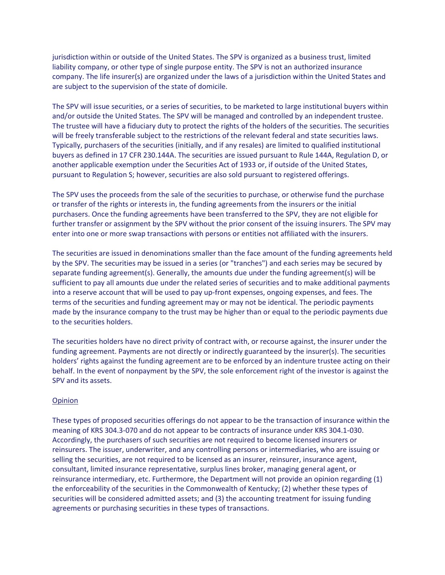jurisdiction within or outside of the United States. The SPV is organized as a business trust, limited liability company, or other type of single purpose entity. The SPV is not an authorized insurance company. The life insurer(s) are organized under the laws of a jurisdiction within the United States and are subject to the supervision of the state of domicile.

The SPV will issue securities, or a series of securities, to be marketed to large institutional buyers within and/or outside the United States. The SPV will be managed and controlled by an independent trustee. The trustee will have a fiduciary duty to protect the rights of the holders of the securities. The securities will be freely transferable subject to the restrictions of the relevant federal and state securities laws. Typically, purchasers of the securities (initially, and if any resales) are limited to qualified institutional buyers as defined in 17 CFR 230.144A. The securities are issued pursuant to Rule 144A, Regulation D, or another applicable exemption under the Securities Act of 1933 or, if outside of the United States, pursuant to Regulation S; however, securities are also sold pursuant to registered offerings.

The SPV uses the proceeds from the sale of the securities to purchase, or otherwise fund the purchase or transfer of the rights or interests in, the funding agreements from the insurers or the initial purchasers. Once the funding agreements have been transferred to the SPV, they are not eligible for further transfer or assignment by the SPV without the prior consent of the issuing insurers. The SPV may enter into one or more swap transactions with persons or entities not affiliated with the insurers.

The securities are issued in denominations smaller than the face amount of the funding agreements held by the SPV. The securities may be issued in a series (or "tranches") and each series may be secured by separate funding agreement(s). Generally, the amounts due under the funding agreement(s) will be sufficient to pay all amounts due under the related series of securities and to make additional payments into a reserve account that will be used to pay up-front expenses, ongoing expenses, and fees. The terms of the securities and funding agreement may or may not be identical. The periodic payments made by the insurance company to the trust may be higher than or equal to the periodic payments due to the securities holders.

The securities holders have no direct privity of contract with, or recourse against, the insurer under the funding agreement. Payments are not directly or indirectly guaranteed by the insurer(s). The securities holders' rights against the funding agreement are to be enforced by an indenture trustee acting on their behalf. In the event of nonpayment by the SPV, the sole enforcement right of the investor is against the SPV and its assets.

## Opinion

These types of proposed securities offerings do not appear to be the transaction of insurance within the meaning of KRS 304.3-070 and do not appear to be contracts of insurance under KRS 304.1-030. Accordingly, the purchasers of such securities are not required to become licensed insurers or reinsurers. The issuer, underwriter, and any controlling persons or intermediaries, who are issuing or selling the securities, are not required to be licensed as an insurer, reinsurer, insurance agent, consultant, limited insurance representative, surplus lines broker, managing general agent, or reinsurance intermediary, etc. Furthermore, the Department will not provide an opinion regarding (1) the enforceability of the securities in the Commonwealth of Kentucky; (2) whether these types of securities will be considered admitted assets; and (3) the accounting treatment for issuing funding agreements or purchasing securities in these types of transactions.